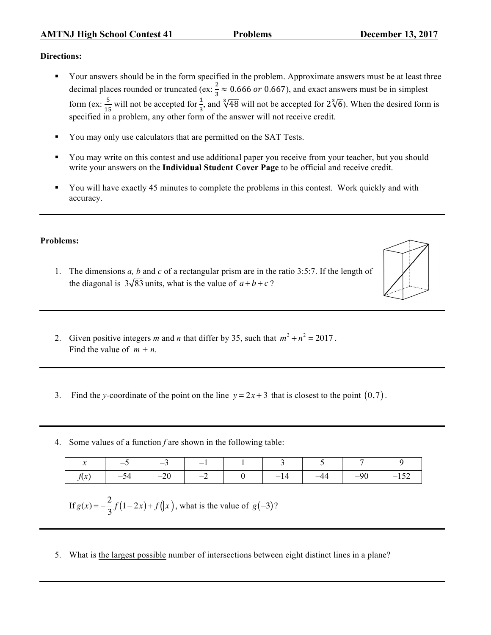## **Directions:**

- § Your answers should be in the form specified in the problem. Approximate answers must be at least three decimal places rounded or truncated (ex:  $\frac{2}{3} \approx 0.666$  or 0.667), and exact answers must be in simplest form (ex:  $\frac{5}{15}$  will not be accepted for  $\frac{1}{3}$ , and  $\sqrt[3]{48}$  will not be accepted for  $2\sqrt[3]{6}$ ). When the desired form is specified in a problem, any other form of the answer will not receive credit.
- You may only use calculators that are permitted on the SAT Tests.
- § You may write on this contest and use additional paper you receive from your teacher, but you should write your answers on the **Individual Student Cover Page** to be official and receive credit.
- § You will have exactly 45 minutes to complete the problems in this contest. Work quickly and with accuracy.

## **Problems:**

- 1. The dimensions *a, b* and *c* of a rectangular prism are in the ratio 3:5:7. If the length of the diagonal is  $3\sqrt{83}$  units, what is the value of  $a+b+c$ ?
- 2. Given positive integers *m* and *n* that differ by 35, such that  $m^2 + n^2 = 2017$ . Find the value of  $m + n$ .
- 3. Find the *y*-coordinate of the point on the line  $y = 2x + 3$  that is closest to the point  $(0,7)$ .
- 4. Some values of a function *f* are shown in the following table:

|                                                      | $x \mid -5 \mid -3 \mid -1 \mid 1 \mid 3 \mid 5 \mid 7$ |  |  |  |  |
|------------------------------------------------------|---------------------------------------------------------|--|--|--|--|
| $f(x)$ $-54$ $-20$ $-2$ $0$ $-14$ $-44$ $-90$ $-152$ |                                                         |  |  |  |  |

If  $g(x) = -\frac{2}{3}f(1-2x) + f(|x|)$ , what is the value of  $g(-3)$ ?

5. What is the largest possible number of intersections between eight distinct lines in a plane?

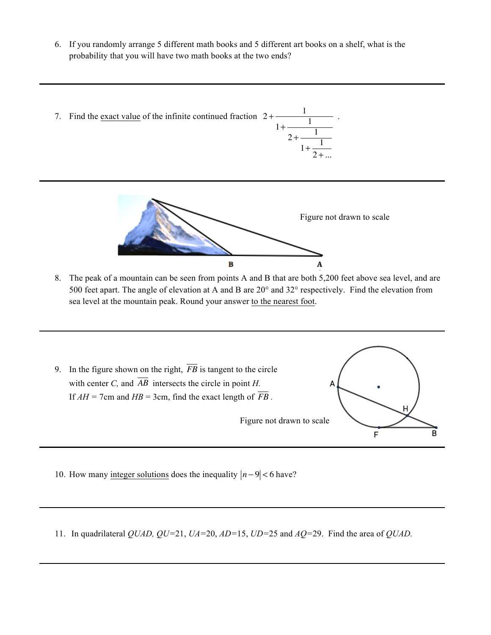6. If you randomly arrange 5 different math books and 5 different art books on a shelf, what is the probability that you will have two math books at the two ends?





8. The peak of a mountain can be seen from points A and B that are both 5,200 feet above sea level, and are 500 feet apart. The angle of elevation at A and B are 20° and 32° respectively. Find the elevation from sea level at the mountain peak. Round your answer to the nearest foot.



- 10. How many integer solutions does the inequality *n* − 9 < 6 have?
- 11. In quadrilateral *QUAD, QU=*21, *UA=*20, *AD=*15, *UD=*25 and *AQ=*29. Find the area of *QUAD.*